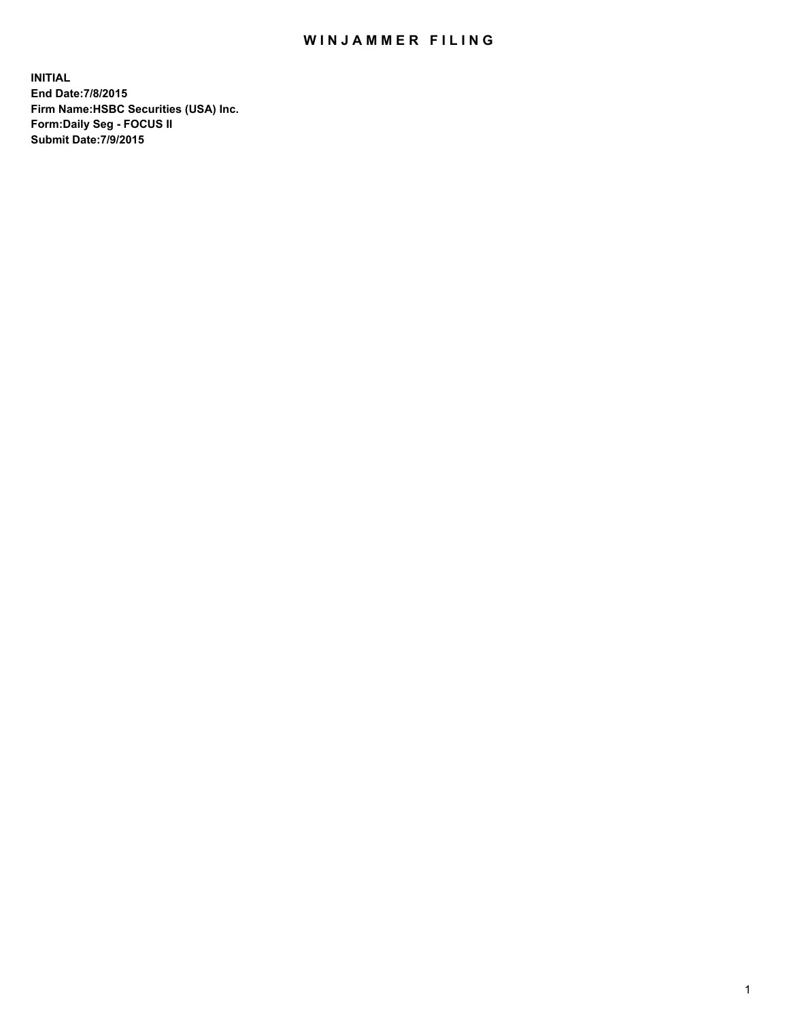## WIN JAMMER FILING

**INITIAL End Date:7/8/2015 Firm Name:HSBC Securities (USA) Inc. Form:Daily Seg - FOCUS II Submit Date:7/9/2015**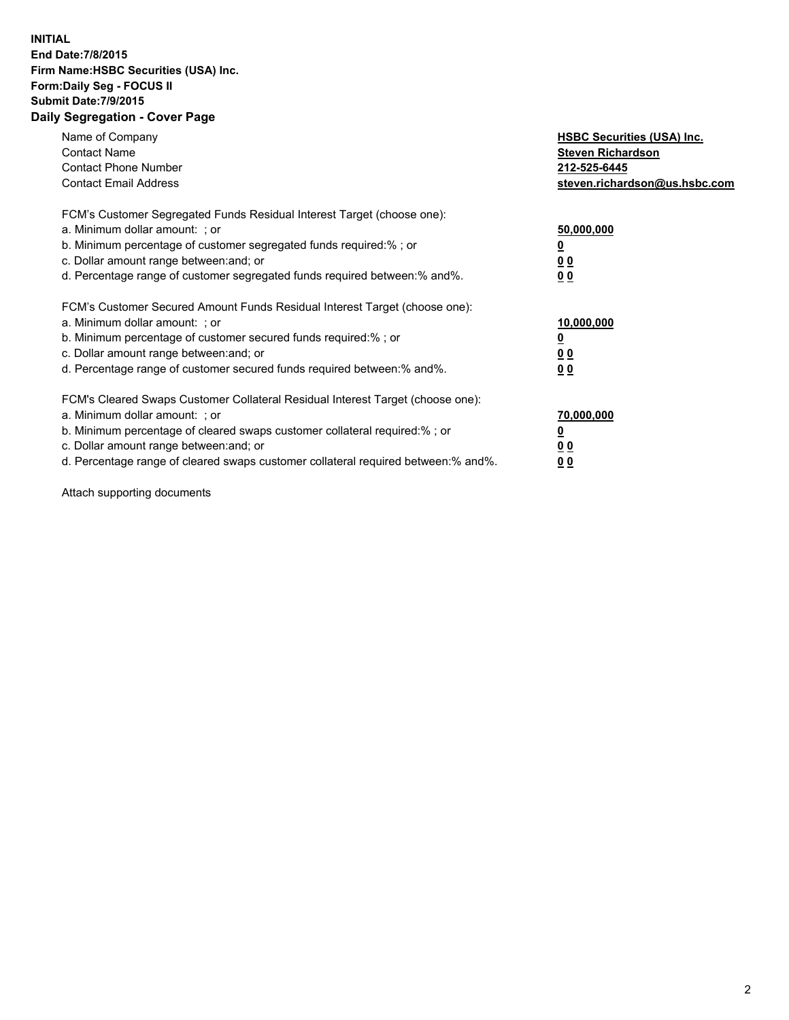## **INITIAL End Date:7/8/2015 Firm Name:HSBC Securities (USA) Inc. Form:Daily Seg - FOCUS II Submit Date:7/9/2015 Daily Segregation - Cover Page**

| Name of Company<br><b>Contact Name</b><br><b>Contact Phone Number</b><br><b>Contact Email Address</b>                                                                                                                                                                                                                         | <b>HSBC Securities (USA) Inc.</b><br><b>Steven Richardson</b><br>212-525-6445<br>steven.richardson@us.hsbc.com |
|-------------------------------------------------------------------------------------------------------------------------------------------------------------------------------------------------------------------------------------------------------------------------------------------------------------------------------|----------------------------------------------------------------------------------------------------------------|
| FCM's Customer Segregated Funds Residual Interest Target (choose one):<br>a. Minimum dollar amount: ; or<br>b. Minimum percentage of customer segregated funds required:%; or<br>c. Dollar amount range between: and; or<br>d. Percentage range of customer segregated funds required between:% and%.                         | 50,000,000<br>00<br>0 <sub>0</sub>                                                                             |
| FCM's Customer Secured Amount Funds Residual Interest Target (choose one):<br>a. Minimum dollar amount: ; or<br>b. Minimum percentage of customer secured funds required:%; or<br>c. Dollar amount range between: and; or<br>d. Percentage range of customer secured funds required between:% and%.                           | 10,000,000<br>0 <sub>0</sub><br>00                                                                             |
| FCM's Cleared Swaps Customer Collateral Residual Interest Target (choose one):<br>a. Minimum dollar amount: ; or<br>b. Minimum percentage of cleared swaps customer collateral required:%; or<br>c. Dollar amount range between: and; or<br>d. Percentage range of cleared swaps customer collateral required between:% and%. | 70,000,000<br><u>00</u><br><u>00</u>                                                                           |

Attach supporting documents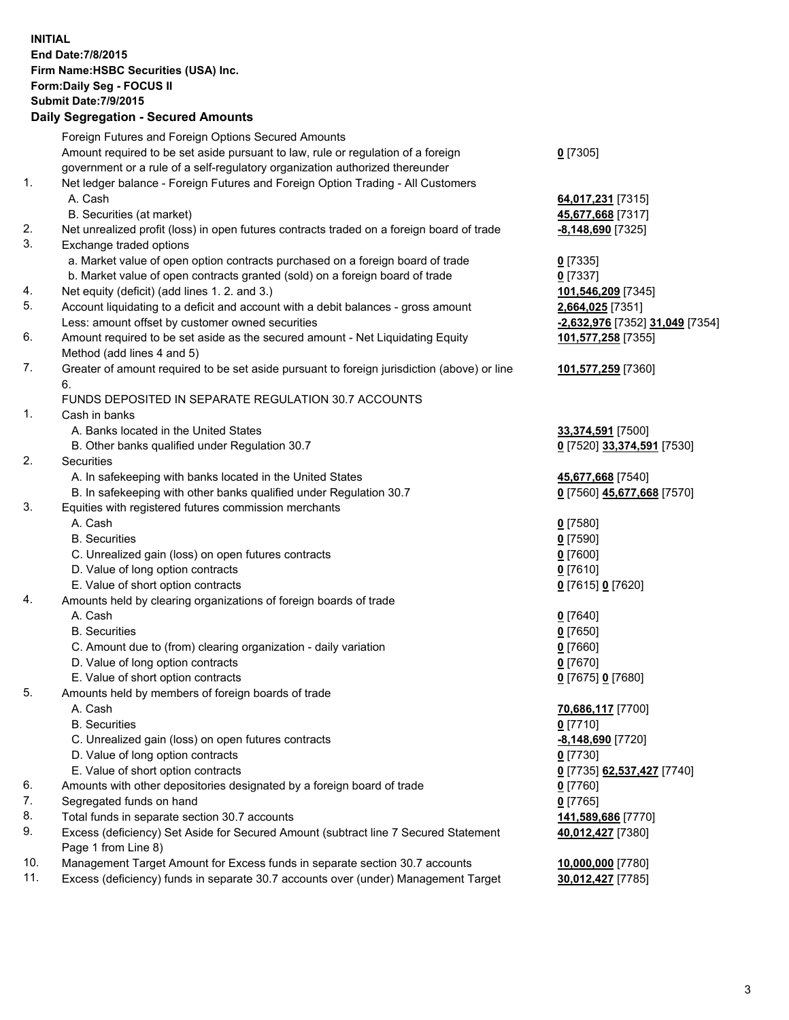**INITIAL End Date:7/8/2015 Firm Name:HSBC Securities (USA) Inc. Form:Daily Seg - FOCUS II Submit Date:7/9/2015 Daily Segregation - Secured Amounts** Foreign Futures and Foreign Options Secured Amounts Amount required to be set aside pursuant to law, rule or regulation of a foreign government or a rule of a self-regulatory organization authorized thereunder **0** [7305] 1. Net ledger balance - Foreign Futures and Foreign Option Trading - All Customers A. Cash **64,017,231** [7315] B. Securities (at market) **45,677,668** [7317] 2. Net unrealized profit (loss) in open futures contracts traded on a foreign board of trade **-8,148,690** [7325] 3. Exchange traded options a. Market value of open option contracts purchased on a foreign board of trade **0** [7335] b. Market value of open contracts granted (sold) on a foreign board of trade **0** [7337] 4. Net equity (deficit) (add lines 1. 2. and 3.) **101,546,209** [7345] 5. Account liquidating to a deficit and account with a debit balances - gross amount **2,664,025** [7351] Less: amount offset by customer owned securities **-2,632,976** [7352] **31,049** [7354] 6. Amount required to be set aside as the secured amount - Net Liquidating Equity Method (add lines 4 and 5) **101,577,258** [7355] 7. Greater of amount required to be set aside pursuant to foreign jurisdiction (above) or line 6. **101,577,259** [7360] FUNDS DEPOSITED IN SEPARATE REGULATION 30.7 ACCOUNTS 1. Cash in banks A. Banks located in the United States **33,374,591** [7500] B. Other banks qualified under Regulation 30.7 **0** [7520] **33,374,591** [7530] 2. Securities A. In safekeeping with banks located in the United States **45,677,668** [7540] B. In safekeeping with other banks qualified under Regulation 30.7 **0** [7560] **45,677,668** [7570] 3. Equities with registered futures commission merchants A. Cash **0** [7580] B. Securities **0** [7590] C. Unrealized gain (loss) on open futures contracts **0** [7600] D. Value of long option contracts **0** [7610] E. Value of short option contracts **0** [7615] **0** [7620] 4. Amounts held by clearing organizations of foreign boards of trade A. Cash **0** [7640] B. Securities **0** [7650] C. Amount due to (from) clearing organization - daily variation **0** [7660] D. Value of long option contracts **0** [7670] E. Value of short option contracts **0** [7675] **0** [7680] 5. Amounts held by members of foreign boards of trade A. Cash **70,686,117** [7700] B. Securities **0** [7710] C. Unrealized gain (loss) on open futures contracts **-8,148,690** [7720] D. Value of long option contracts **0** [7730] E. Value of short option contracts **0** [7735] **62,537,427** [7740] 6. Amounts with other depositories designated by a foreign board of trade **0** [7760] 7. Segregated funds on hand **0** [7765] 8. Total funds in separate section 30.7 accounts **141,589,686** [7770] 9. Excess (deficiency) Set Aside for Secured Amount (subtract line 7 Secured Statement Page 1 from Line 8) **40,012,427** [7380] 10. Management Target Amount for Excess funds in separate section 30.7 accounts **10,000,000** [7780] 11. Excess (deficiency) funds in separate 30.7 accounts over (under) Management Target **30,012,427** [7785]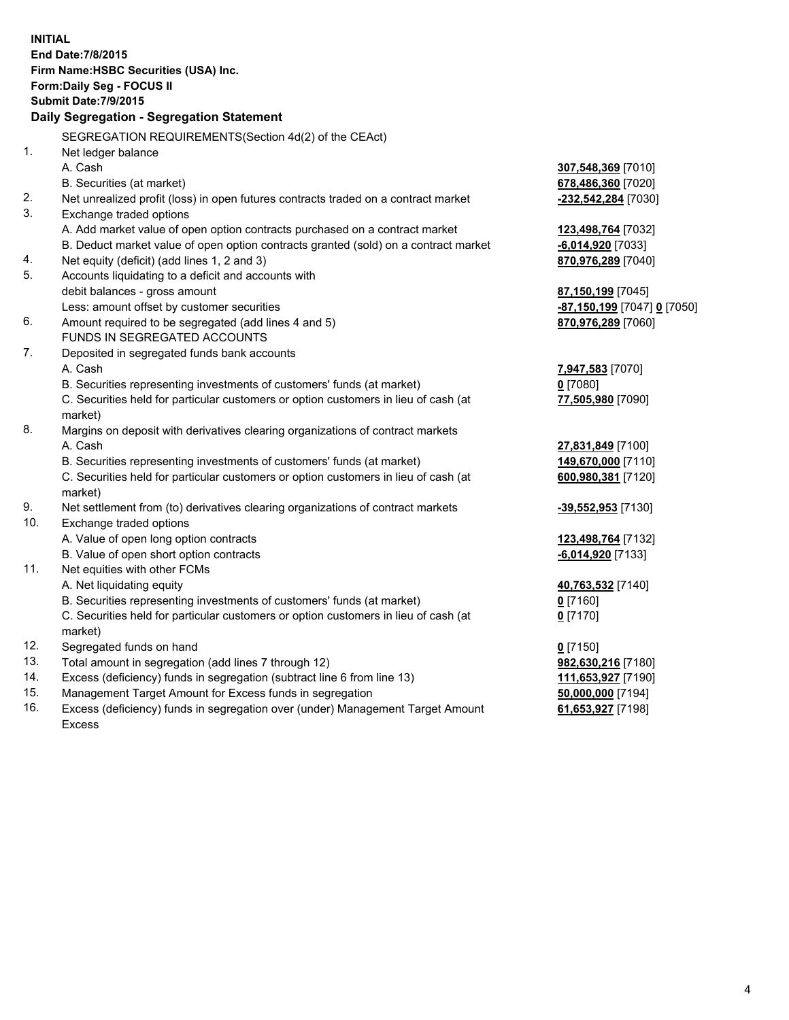| <b>INITIAL</b> | End Date: 7/8/2015<br>Firm Name: HSBC Securities (USA) Inc.<br>Form: Daily Seg - FOCUS II<br><b>Submit Date: 7/9/2015</b><br>Daily Segregation - Segregation Statement |                                           |
|----------------|------------------------------------------------------------------------------------------------------------------------------------------------------------------------|-------------------------------------------|
|                | SEGREGATION REQUIREMENTS(Section 4d(2) of the CEAct)                                                                                                                   |                                           |
| 1.             | Net ledger balance<br>A. Cash                                                                                                                                          |                                           |
|                |                                                                                                                                                                        | 307,548,369 [7010]                        |
| 2.             | B. Securities (at market)<br>Net unrealized profit (loss) in open futures contracts traded on a contract market                                                        | 678,486,360 [7020]<br>-232,542,284 [7030] |
| 3.             | Exchange traded options                                                                                                                                                |                                           |
|                | A. Add market value of open option contracts purchased on a contract market                                                                                            |                                           |
|                | B. Deduct market value of open option contracts granted (sold) on a contract market                                                                                    | 123,498,764 [7032]<br>-6,014,920 [7033]   |
| 4.             | Net equity (deficit) (add lines 1, 2 and 3)                                                                                                                            | 870,976,289 [7040]                        |
| 5.             | Accounts liquidating to a deficit and accounts with                                                                                                                    |                                           |
|                | debit balances - gross amount                                                                                                                                          | 87,150,199 [7045]                         |
|                | Less: amount offset by customer securities                                                                                                                             | -87,150,199 [7047] 0 [7050]               |
| 6.             | Amount required to be segregated (add lines 4 and 5)                                                                                                                   | 870,976,289 [7060]                        |
|                | FUNDS IN SEGREGATED ACCOUNTS                                                                                                                                           |                                           |
| 7.             | Deposited in segregated funds bank accounts                                                                                                                            |                                           |
|                | A. Cash                                                                                                                                                                | 7,947,583 [7070]                          |
|                | B. Securities representing investments of customers' funds (at market)                                                                                                 | $0$ [7080]                                |
|                | C. Securities held for particular customers or option customers in lieu of cash (at                                                                                    | 77,505,980 [7090]                         |
|                | market)                                                                                                                                                                |                                           |
| 8.             | Margins on deposit with derivatives clearing organizations of contract markets                                                                                         |                                           |
|                | A. Cash                                                                                                                                                                | 27,831,849 [7100]                         |
|                | B. Securities representing investments of customers' funds (at market)                                                                                                 | 149,670,000 [7110]                        |
|                | C. Securities held for particular customers or option customers in lieu of cash (at                                                                                    | 600,980,381 [7120]                        |
|                | market)                                                                                                                                                                |                                           |
| 9.             | Net settlement from (to) derivatives clearing organizations of contract markets                                                                                        | -39,552,953 [7130]                        |
| 10.            | Exchange traded options                                                                                                                                                |                                           |
|                | A. Value of open long option contracts                                                                                                                                 | 123,498,764 [7132]                        |
|                | B. Value of open short option contracts                                                                                                                                | $-6,014,920$ [7133]                       |
| 11.            | Net equities with other FCMs                                                                                                                                           |                                           |
|                | A. Net liquidating equity                                                                                                                                              | 40,763,532 [7140]                         |
|                | B. Securities representing investments of customers' funds (at market)                                                                                                 | 0 <sup>[7160]</sup>                       |
|                | C. Securities held for particular customers or option customers in lieu of cash (at                                                                                    | $0$ [7170]                                |
|                | market)                                                                                                                                                                |                                           |
| 12.            | Segregated funds on hand                                                                                                                                               | $0$ [7150]                                |
| 13.            | Total amount in segregation (add lines 7 through 12)                                                                                                                   | 982,630,216 [7180]                        |
| 14.<br>15.     | Excess (deficiency) funds in segregation (subtract line 6 from line 13)<br>Management Target Amount for Excess funds in segregation                                    | 111,653,927 [7190]                        |
| 16.            | Excess (deficiency) funds in segregation over (under) Management Target Amount                                                                                         | 50,000,000 [7194]<br>61,653,927 [7198]    |
|                | <b>Excess</b>                                                                                                                                                          |                                           |